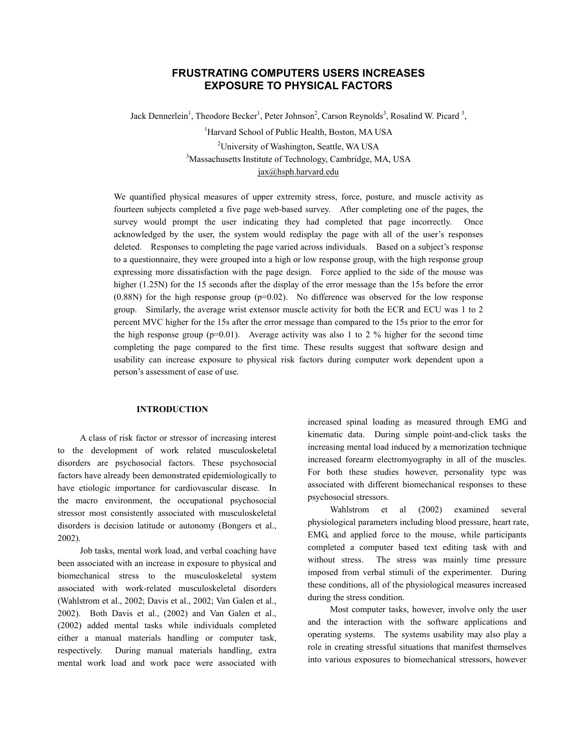# **FRUSTRATING COMPUTERS USERS INCREASES EXPOSURE TO PHYSICAL FACTORS**

Jack Dennerlein<sup>1</sup>, Theodore Becker<sup>1</sup>, Peter Johnson<sup>2</sup>, Carson Reynolds<sup>3</sup>, Rosalind W. Picard<sup>3</sup>,

<sup>1</sup>Harvard School of Public Health, Boston, MA USA <sup>2</sup>University of Washington, Seattle, WA USA<sup>3</sup>Messeshusette Institute of Technology, Cambridge, M Massachusetts Institute of Technology, Cambridge, MA, USA jax@hsph.harvard.edu

We quantified physical measures of upper extremity stress, force, posture, and muscle activity as fourteen subjects completed a five page web-based survey. After completing one of the pages, the survey would prompt the user indicating they had completed that page incorrectly. Once acknowledged by the user, the system would redisplay the page with all of the user's responses deleted. Responses to completing the page varied across individuals. Based on a subject's response to a questionnaire, they were grouped into a high or low response group, with the high response group expressing more dissatisfaction with the page design. Force applied to the side of the mouse was higher (1.25N) for the 15 seconds after the display of the error message than the 15s before the error  $(0.88N)$  for the high response group  $(p=0.02)$ . No difference was observed for the low response group. Similarly, the average wrist extensor muscle activity for both the ECR and ECU was 1 to 2 percent MVC higher for the 15s after the error message than compared to the 15s prior to the error for the high response group ( $p=0.01$ ). Average activity was also 1 to 2 % higher for the second time completing the page compared to the first time. These results suggest that software design and usability can increase exposure to physical risk factors during computer work dependent upon a person's assessment of ease of use.

## **INTRODUCTION**

A class of risk factor or stressor of increasing interest to the development of work related musculoskeletal disorders are psychosocial factors. These psychosocial factors have already been demonstrated epidemiologically to have etiologic importance for cardiovascular disease. In the macro environment, the occupational psychosocial stressor most consistently associated with musculoskeletal disorders is decision latitude or autonomy (Bongers et al., 2002).

Job tasks, mental work load, and verbal coaching have been associated with an increase in exposure to physical and biomechanical stress to the musculoskeletal system associated with work-related musculoskeletal disorders (Wahlstrom et al., 2002; Davis et al., 2002; Van Galen et al., 2002). Both Davis et al., (2002) and Van Galen et al., (2002) added mental tasks while individuals completed either a manual materials handling or computer task, respectively. During manual materials handling, extra mental work load and work pace were associated with

increased spinal loading as measured through EMG and kinematic data. During simple point-and-click tasks the increasing mental load induced by a memorization technique increased forearm electromyography in all of the muscles. For both these studies however, personality type was associated with different biomechanical responses to these psychosocial stressors.

Wahlstrom et al (2002) examined several physiological parameters including blood pressure, heart rate, EMG, and applied force to the mouse, while participants completed a computer based text editing task with and without stress. The stress was mainly time pressure imposed from verbal stimuli of the experimenter. During these conditions, all of the physiological measures increased during the stress condition.

Most computer tasks, however, involve only the user and the interaction with the software applications and operating systems. The systems usability may also play a role in creating stressful situations that manifest themselves into various exposures to biomechanical stressors, however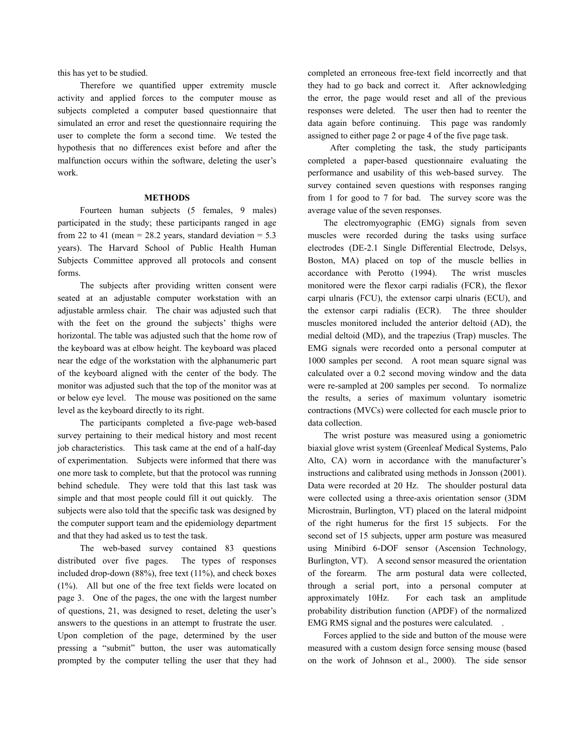this has yet to be studied.

Therefore we quantified upper extremity muscle activity and applied forces to the computer mouse as subjects completed a computer based questionnaire that simulated an error and reset the questionnaire requiring the user to complete the form a second time. We tested the hypothesis that no differences exist before and after the malfunction occurs within the software, deleting the user's work.

### **METHODS**

Fourteen human subjects (5 females, 9 males) participated in the study; these participants ranged in age from 22 to 41 (mean =  $28.2$  years, standard deviation =  $5.3$ years). The Harvard School of Public Health Human Subjects Committee approved all protocols and consent forms.

The subjects after providing written consent were seated at an adjustable computer workstation with an adjustable armless chair. The chair was adjusted such that with the feet on the ground the subjects' thighs were horizontal. The table was adjusted such that the home row of the keyboard was at elbow height. The keyboard was placed near the edge of the workstation with the alphanumeric part of the keyboard aligned with the center of the body. The monitor was adjusted such that the top of the monitor was at or below eye level. The mouse was positioned on the same level as the keyboard directly to its right.

The participants completed a five-page web-based survey pertaining to their medical history and most recent job characteristics. This task came at the end of a half-day of experimentation. Subjects were informed that there was one more task to complete, but that the protocol was running behind schedule. They were told that this last task was simple and that most people could fill it out quickly. The subjects were also told that the specific task was designed by the computer support team and the epidemiology department and that they had asked us to test the task.

The web-based survey contained 83 questions distributed over five pages. The types of responses included drop-down (88%), free text (11%), and check boxes (1%). All but one of the free text fields were located on page 3. One of the pages, the one with the largest number of questions, 21, was designed to reset, deleting the user's answers to the questions in an attempt to frustrate the user. Upon completion of the page, determined by the user pressing a "submit" button, the user was automatically prompted by the computer telling the user that they had

completed an erroneous free-text field incorrectly and that they had to go back and correct it. After acknowledging the error, the page would reset and all of the previous responses were deleted. The user then had to reenter the data again before continuing. This page was randomly assigned to either page 2 or page 4 of the five page task.

After completing the task, the study participants completed a paper-based questionnaire evaluating the performance and usability of this web-based survey. The survey contained seven questions with responses ranging from 1 for good to 7 for bad. The survey score was the average value of the seven responses.

 The electromyographic (EMG) signals from seven muscles were recorded during the tasks using surface electrodes (DE-2.1 Single Differential Electrode, Delsys, Boston, MA) placed on top of the muscle bellies in accordance with Perotto (1994). The wrist muscles monitored were the flexor carpi radialis (FCR), the flexor carpi ulnaris (FCU), the extensor carpi ulnaris (ECU), and the extensor carpi radialis (ECR). The three shoulder muscles monitored included the anterior deltoid (AD), the medial deltoid (MD), and the trapezius (Trap) muscles. The EMG signals were recorded onto a personal computer at 1000 samples per second. A root mean square signal was calculated over a 0.2 second moving window and the data were re-sampled at 200 samples per second. To normalize the results, a series of maximum voluntary isometric contractions (MVCs) were collected for each muscle prior to data collection.

 The wrist posture was measured using a goniometric biaxial glove wrist system (Greenleaf Medical Systems, Palo Alto, CA) worn in accordance with the manufacturer's instructions and calibrated using methods in Jonsson (2001). Data were recorded at 20 Hz. The shoulder postural data were collected using a three-axis orientation sensor (3DM Microstrain, Burlington, VT) placed on the lateral midpoint of the right humerus for the first 15 subjects. For the second set of 15 subjects, upper arm posture was measured using Minibird 6-DOF sensor (Ascension Technology, Burlington, VT). A second sensor measured the orientation of the forearm. The arm postural data were collected, through a serial port, into a personal computer at approximately 10Hz. For each task an amplitude probability distribution function (APDF) of the normalized EMG RMS signal and the postures were calculated. .

 Forces applied to the side and button of the mouse were measured with a custom design force sensing mouse (based on the work of Johnson et al., 2000). The side sensor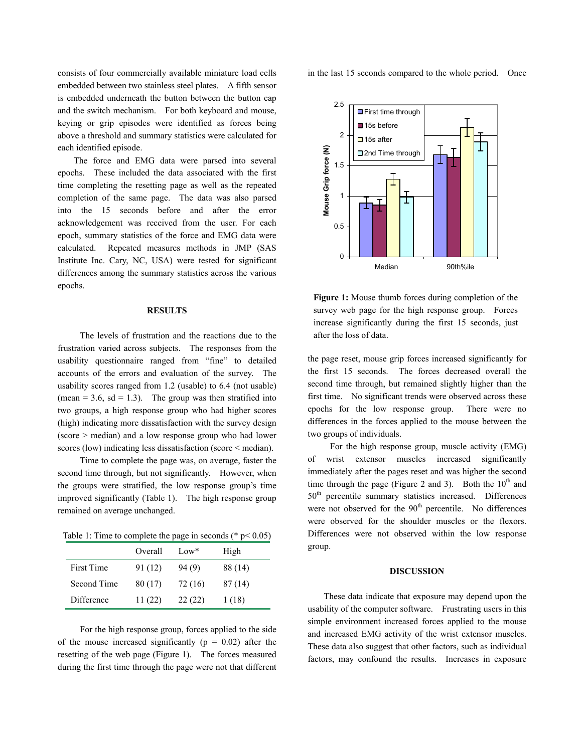consists of four commercially available miniature load cells embedded between two stainless steel plates. A fifth sensor is embedded underneath the button between the button cap and the switch mechanism. For both keyboard and mouse, keying or grip episodes were identified as forces being above a threshold and summary statistics were calculated for each identified episode.

 The force and EMG data were parsed into several epochs. These included the data associated with the first time completing the resetting page as well as the repeated completion of the same page. The data was also parsed into the 15 seconds before and after the error acknowledgement was received from the user. For each epoch, summary statistics of the force and EMG data were calculated. Repeated measures methods in JMP (SAS Institute Inc. Cary, NC, USA) were tested for significant differences among the summary statistics across the various epochs.

### **RESULTS**

The levels of frustration and the reactions due to the frustration varied across subjects. The responses from the usability questionnaire ranged from "fine" to detailed accounts of the errors and evaluation of the survey. The usability scores ranged from 1.2 (usable) to 6.4 (not usable) (mean  $= 3.6$ , sd  $= 1.3$ ). The group was then stratified into two groups, a high response group who had higher scores (high) indicating more dissatisfaction with the survey design (score > median) and a low response group who had lower scores (low) indicating less dissatisfaction (score < median).

Time to complete the page was, on average, faster the second time through, but not significantly. However, when the groups were stratified, the low response group's time improved significantly (Table 1). The high response group remained on average unchanged.

Table 1: Time to complete the page in seconds ( $* p < 0.05$ )

|             | Overall | Low*    | High    |
|-------------|---------|---------|---------|
| First Time  | 91 (12) | 94 (9)  | 88 (14) |
| Second Time | 80 (17) | 72 (16) | 87(14)  |
| Difference  | 11(22)  | 22(22)  | 1(18)   |

For the high response group, forces applied to the side of the mouse increased significantly ( $p = 0.02$ ) after the resetting of the web page (Figure 1). The forces measured during the first time through the page were not that different in the last 15 seconds compared to the whole period. Once



**Figure 1:** Mouse thumb forces during completion of the survey web page for the high response group. Forces increase significantly during the first 15 seconds, just after the loss of data.

the page reset, mouse grip forces increased significantly for the first 15 seconds. The forces decreased overall the second time through, but remained slightly higher than the first time. No significant trends were observed across these epochs for the low response group. There were no differences in the forces applied to the mouse between the two groups of individuals.

For the high response group, muscle activity (EMG) of wrist extensor muscles increased significantly immediately after the pages reset and was higher the second time through the page (Figure 2 and 3). Both the  $10<sup>th</sup>$  and 50<sup>th</sup> percentile summary statistics increased. Differences were not observed for the  $90<sup>th</sup>$  percentile. No differences were observed for the shoulder muscles or the flexors. Differences were not observed within the low response group.

## **DISCUSSION**

 These data indicate that exposure may depend upon the usability of the computer software. Frustrating users in this simple environment increased forces applied to the mouse and increased EMG activity of the wrist extensor muscles. These data also suggest that other factors, such as individual factors, may confound the results. Increases in exposure